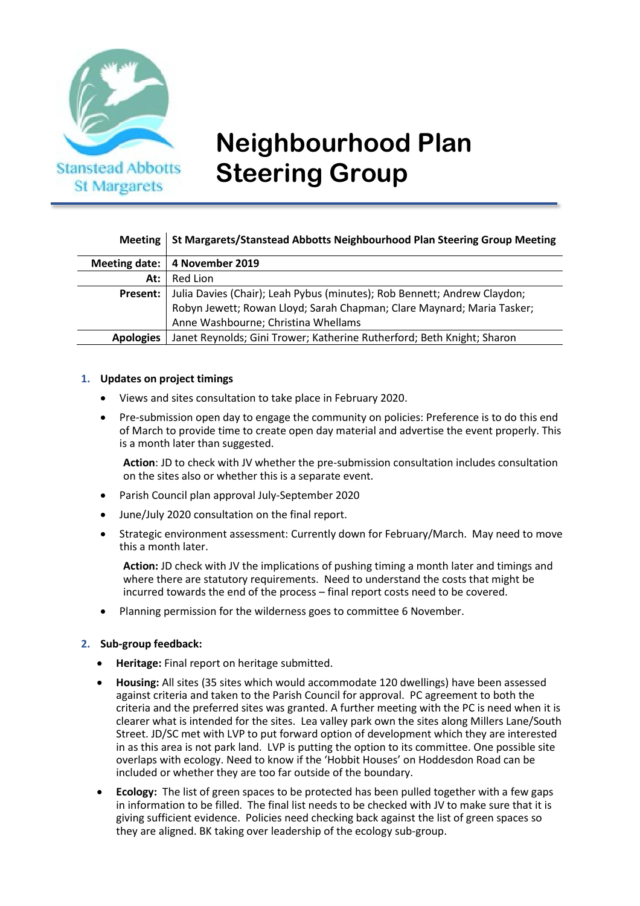

# **Neighbourhood Plan Steering Group**

# **Meeting St Margarets/Stanstead Abbotts Neighbourhood Plan Steering Group Meeting**

|                  | Meeting date:   4 November 2019                                          |
|------------------|--------------------------------------------------------------------------|
| At: $\vdash$     | Red Lion                                                                 |
| Present:         | Julia Davies (Chair); Leah Pybus (minutes); Rob Bennett; Andrew Claydon; |
|                  | Robyn Jewett; Rowan Lloyd; Sarah Chapman; Clare Maynard; Maria Tasker;   |
|                  | Anne Washbourne; Christina Whellams                                      |
| <b>Apologies</b> | Janet Reynolds; Gini Trower; Katherine Rutherford; Beth Knight; Sharon   |

#### **1. Updates on project timings**

- Views and sites consultation to take place in February 2020.
- Pre-submission open day to engage the community on policies: Preference is to do this end of March to provide time to create open day material and advertise the event properly. This is a month later than suggested.

**Action**: JD to check with JV whether the pre-submission consultation includes consultation on the sites also or whether this is a separate event.

- Parish Council plan approval July-September 2020
- June/July 2020 consultation on the final report.
- Strategic environment assessment: Currently down for February/March. May need to move this a month later.

**Action:** JD check with JV the implications of pushing timing a month later and timings and where there are statutory requirements. Need to understand the costs that might be incurred towards the end of the process – final report costs need to be covered.

• Planning permission for the wilderness goes to committee 6 November.

### **2. Sub-group feedback:**

- **Heritage:** Final report on heritage submitted.
- **Housing:** All sites (35 sites which would accommodate 120 dwellings) have been assessed against criteria and taken to the Parish Council for approval. PC agreement to both the criteria and the preferred sites was granted. A further meeting with the PC is need when it is clearer what is intended for the sites. Lea valley park own the sites along Millers Lane/South Street. JD/SC met with LVP to put forward option of development which they are interested in as this area is not park land. LVP is putting the option to its committee. One possible site overlaps with ecology. Need to know if the 'Hobbit Houses' on Hoddesdon Road can be included or whether they are too far outside of the boundary.
- **Ecology:** The list of green spaces to be protected has been pulled together with a few gaps in information to be filled. The final list needs to be checked with JV to make sure that it is giving sufficient evidence. Policies need checking back against the list of green spaces so they are aligned. BK taking over leadership of the ecology sub-group.